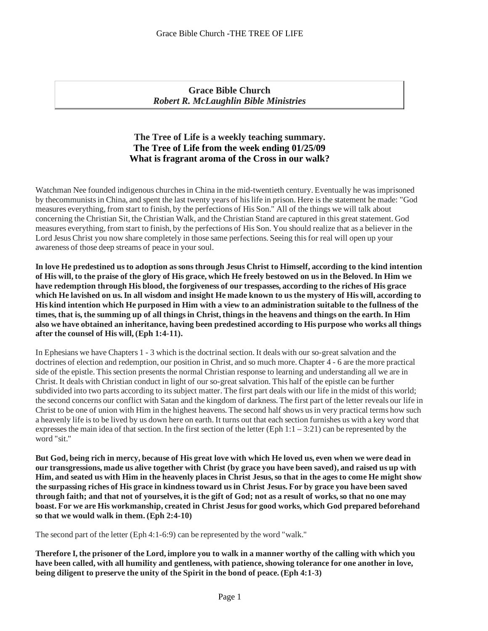**Grace Bible Church** *Robert R. McLaughlin Bible Ministries*

# **The Tree of Life is a weekly teaching summary. The Tree of Life from the week ending 01/25/09 What is fragrant aroma of the Cross in our walk?**

Watchman Nee founded indigenous churches in China in the mid-twentieth century. Eventually he was imprisoned by thecommunistsin China, and spent the last twenty years of hislife in prison. Here isthe statement he made: "God measures everything, from start to finish, by the perfections of His Son." All of the things we will talk about concerning the Christian Sit, the Christian Walk, and the Christian Stand are captured in this great statement. God measures everything, from start to finish, by the perfections of His Son. You should realize that as a believer in the Lord Jesus Christ you now share completely in those same perfections. Seeing this for real will open up your awareness of those deep streams of peace in your soul.

**In love He predestined usto adoption assonsthrough Jesus Christ to Himself, according to thekind intention** of His will, to the praise of the glory of His grace, which He freely bestowed on us in the Beloved. In Him we **have redemption through Hisblood, the forgiveness of our trespasses, according to the riches of His grace** which He lavished on us. In all wisdom and insight He made known to us the mystery of His will, according to His kind intention which He purposed in Him with a view to an administration suitable to the fullness of the times, that is, the summing up of all things in Christ, things in the heavens and things on the earth. In Him also we have obtained an inheritance, having been predestined according to His purpose who works all things **after the counsel of His will, (Eph 1:4-11).**

In Ephesians we have Chapters 1 - 3 which is the doctrinal section. It deals with our so-great salvation and the doctrines of election and redemption, our position in Christ, and so much more. Chapter 4 - 6 are the more practical side of the epistle. This section presents the normal Christian response to learning and understanding all we are in Christ. It deals with Christian conduct in light of our so-great salvation. This half of the epistle can be further subdivided into two parts according to its subject matter. The first part deals with our life in the midst of this world; the second concerns our conflict with Satan and the kingdom of darkness. The first part of the letter reveals our life in Christ to be one of union with Him in the highest heavens. The second half shows usin very practical terms how such a heavenly life isto be lived by us down here on earth. It turns out that each section furnishes us with a key word that expresses the main idea of that section. In the first section of the letter (Eph  $1:1 - 3:21$ ) can be represented by the word "sit." word "sit."

But God, being rich in mercy, because of His great love with which He loved us, even when we were dead in our transgressions, made us alive together with Christ (by grace you have been saved), and raised us up with Him, and seated us with Him in the heavenly places in Christ Jesus, so that in the ages to come He might show the surpassing riches of His grace in kindness toward us in Christ Jesus. For by grace you have been saved through faith; and that not of vourselves, it is the gift of God; not as a result of works, so that no one may **boast. For we are His workmanship, created in Christ Jesusfor good works, which God prepared beforehand so that we would walk in them. (Eph 2:4-10)**

The second part of the letter (Eph 4:1-6:9) can be represented by the word "walk."

Therefore I, the prisoner of the Lord, implore you to walk in a manner worthy of the calling with which you **have been called, with all humility and gentleness, with patience,showing tolerance for one another in love, being diligent to preserve the unity of the Spirit in the bond of peace. (Eph 4:1-3)**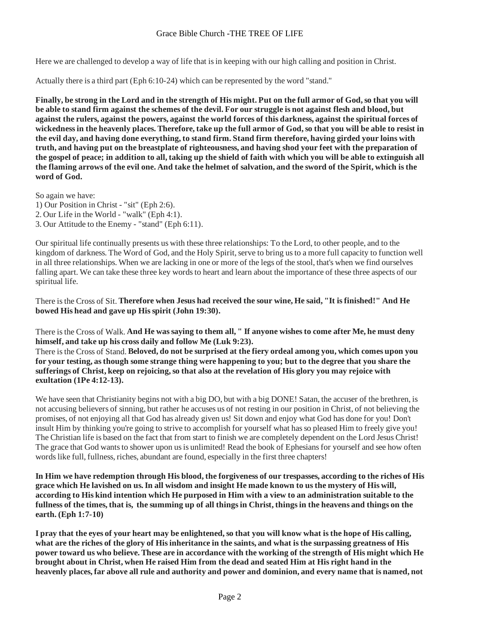Here we are challenged to develop a way of life that is in keeping with our high calling and position in Christ.

Actually there is a third part (Eph 6:10-24) which can be represented by the word "stand."

Finally, be strong in the Lord and in the strength of His might. Put on the full armor of God, so that you will be able to stand firm against the schemes of the devil. For our struggle is not against flesh and blood, but against the rulers, against the powers, against the world forces of this darkness, against the spiritual forces of wickedness in the heavenly places. Therefore, take up the full armor of God, so that you will be able to resist in the evil day, and having done everything, to stand firm. Stand firm therefore, having girded your loins with truth, and having put on the breastplate of righteousness, and having shod your feet with the preparation of the gospel of peace; in addition to all, taking up the shield of faith with which you will be able to extinguish all the flaming arrows of the evil one. And take the helmet of salvation, and the sword of the Spirit, which is the **word of God.**

So again we have:  $\sim$ 

- 1) Our Position in Christ "sit" (Eph 2:6).
- 2. Our Life in the World "walk" (Eph 4:1).
- 3. Our Attitude to the Enemy "stand" (Eph 6:11).

Our spiritual life continually presents us with these threerelationships: To the Lord, to other people, and to the kingdom of darkness. The Word of God, and the Holy Spirit, serve to bring us to a more full capacity to function well in all three relationships. When we are lacking in one or more of the legs of the stool, that's when we find ourselves falling apart. We can take these three key words to heart and learn about the importance of these three aspects of our spiritual life.

There isthe Cross of Sit. **Therefore when Jesus had received the sour wine, He said, "It isfinished!" And He bowed His head and gave up Hisspirit (John 19:30).**

There isthe Cross of Walk. **And He wassaying to them all, " If anyone wishesto come after Me, he must deny himself, and take up his cross daily and follow Me (Luk 9:23).**

There isthe Cross of Stand. **Beloved, do not be surprised at the fiery ordeal among you, which comes upon you** for your testing, as though some strange thing were happening to you; but to the degree that you share the sufferings of Christ, keep on rejoicing, so that also at the revelation of His glory you may rejoice with **exultation (1Pe 4:12-13).**

We have seen that Christianity begins not with a big DO, but with a big DONE! Satan, the accuser of the brethren, is not accusing believers of sinning, but rather he accuses us of not resting in our position in Christ, of not believing the promises, of not enjoying all that God has already given us! Sit down and enjoy what God has done for you!Don't insult Him by thinking you're going to strive to accomplish for yourself what has so pleased Him to freely give you! The Christian life is based on the fact that from start to finish we are completely dependent on the Lord Jesus Christ! The grace that God wants to shower upon us is unlimited! Read the book of Ephesians for yourself and see how often words like full, fullness, riches, abundant are found, especially in the first three chapters!

In Him we have redemption through His blood, the forgiveness of our trespasses, according to the riches of His **grace which He lavished on us.In all wisdom and insightHe made known to usthe mystery of His will,** according to His kind intention which He purposed in Him with a view to an administration suitable to the fullness of the times, that is, the summing up of all things in Christ, things in the heavens and things on the **earth. (Eph 1:7-10)**

I pray that the eyes of your heart may be enlightened, so that you will know what is the hope of His calling, what are the riches of the glory of His inheritance in the saints, and what is the surpassing greatness of His power toward us who believe. These are in accordance with the working of the strength of His might which He brought about in Christ, when He raised Him from the dead and seated Him at His right hand in the heavenly places, far above all rule and authority and power and dominion, and every name that is named, not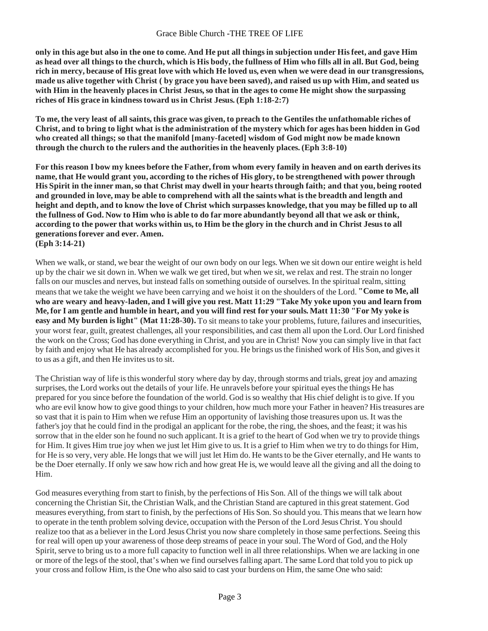only in this age but also in the one to come. And He put all things in subjection under His feet, and gave Him as head over all things to the church, which is His body, the fullness of Him who fills all in all. But God, being rich in mercy, because of His great love with which He loved us, even when we were dead in our transgressions, made us alive together with Christ (by grace you have been saved), and raised us up with Him, and seated us with Him in the heavenly places in Christ Jesus, so that in the ages to come He might show the surpassing **riches of His grace in kindnesstoward usin Christ Jesus. (Eph 1:18-2:7)**

To me, the very least of all saints, this grace was given, to preach to the Gentiles the unfathomable riches of Christ, and to bring to light what is the administration of the mystery which for ages has been hidden in God **who created all things; so that the manifold [many-faceted] wisdom of God might now be made known through the church to the rulers and the authoritiesin the heavenly places. (Eph 3:8-10)**

For this reason I bow my knees before the Father, from whom every family in heaven and on earth derives its name, that He would grant you, according to the riches of His glory, to be strengthened with power through His Spirit in the inner man, so that Christ may dwell in your hearts through faith; and that you, being rooted and grounded in love, may be able to comprehend with all the saints what is the breadth and length and height and depth, and to know the love of Christ which surpasses knowledge, that you may be filled up to all the fullness of God. Now to Him who is able to do far more abundantly beyond all that we ask or think, according to the power that works within us, to Him be the glory in the church and in Christ Jesus to all **generationsforever and ever. Amen. (Eph 3:14-21)**

When we walk, or stand, we bear the weight of our own body on our legs. When we sit down our entire weight is held up by the chair we sit down in. When we walk we get tired, but when we sit, we relax and rest. The strain no longer falls on our muscles and nerves, but instead falls on something outside of ourselves. In the spiritual realm, sitting meansthat we take the weight we have been carrying and we hoist it on the shoulders of the Lord. **"Come to Me, all who are weary and heavy-laden, and I will give you rest. Matt 11:29 "Take My yoke upon you and learn from** Me, for I am gentle and humble in heart, and you will find rest for your souls. Matt 11:30 "For My yoke is **easy and My burden islight" (Mat 11:28-30).** To sit meansto take your problems, future, failures and insecurities, your worst fear, guilt, greatest challenges, all your responsibilities, and cast them all upon the Lord. Our Lord finished the work on the Cross; God has done everything in Christ, and you are in Christ! Now you can simply live in that fact by faith and enjoy what He has already accomplished for you. He brings usthe finished work of His Son, and givesit to us as a gift, and then He invites us to sit.

The Christian way of life isthis wonderful story where day by day, through storms and trials, great joy and amazing surprises, the Lord works out the details of your life. He unravels before your spiritual eyes the things He has prepared for you since before the foundation of the world. God isso wealthy that His chief delight isto give. If you who are evil know how to give good things to your children, how much more your Father in heaven? His treasures are so vast that it is pain to Him when we refuse Him an opportunity of lavishing those treasures upon us. It was the father's joy that he could find in the prodigal an applicant for the robe, the ring, the shoes, and the feast; it was his sorrow that in the elder son he found no such applicant. It is a grief to the heart of God when we try to provide things for Him. It gives Him true joy when we just let Him give to us. It is a grief to Him when we try to do thingsfor Him, for He is so very, very able. He longs that we will just let Him do. He wants to be the Giver eternally, and He wants to be the Doer eternally. If only we saw how rich and how great He is, we would leave all the giving and all the doing to Him.

God measures everything from start to finish, by the perfections of His Son. All of the things we will talk about concerning the Christian Sit, the Christian Walk, and the Christian Stand are captured in this great statement. God measures everything, from start to finish, by the perfections of His Son. So should you. This meansthat we learn how to operate in the tenth problem solving device, occupation with the Person of the Lord Jesus Christ. You should realize too that as a believer in the Lord Jesus Christ you now share completely in those same perfections. Seeing this for real will open up your awareness of those deep streams of peace in your soul. The Word of God, and the Holy Spirit, serve to bring us to a more full capacity to function well in all three relationships. When we are lacking in one or more of the legs of the stool, that's when we find ourselvesfalling apart. The same Lord that told you to pick up your cross and follow Him, isthe One who also said to cast your burdens on Him, the same One who said: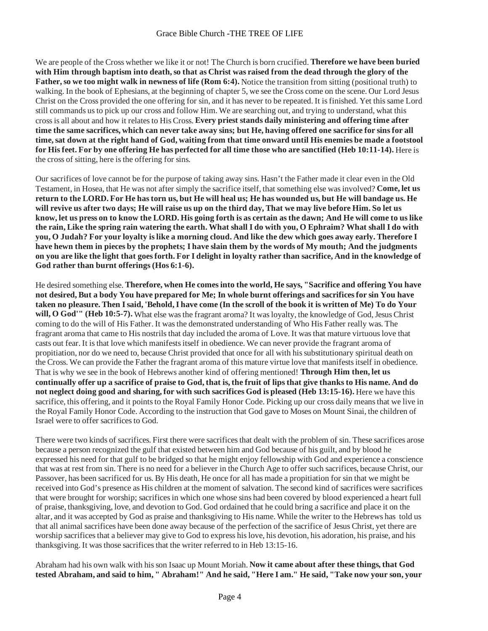We are people of the Cross whether we like it or not! The Church is born crucified. **Therefore we have been buried** with Him through baptism into death, so that as Christ was raised from the dead through the glory of the **Father,so we too might walk in newness of life (Rom 6:4).** Notice the transition from sitting (positional truth) to walking. In the book of Ephesians, at the beginning of chapter 5, we see the Cross come on the scene. Our Lord Jesus Christ on the Cross provided the one offering for sin, and it has never to be repeated. It isfinished. Yet thissame Lord still commands usto pick up our cross and follow Him. We are searching out, and trying to understand, what this crossis all about and how it relatesto His Cross. **Every priest stands daily ministering and offering time after** time the same sacrifices, which can never take away sins; but He, having offered one sacrifice for sins for all time, sat down at the right hand of God, waiting from that time onward until His enemies be made a footstool for His feet. For by one offering He has perfected for all time those who are sanctified (Heb 10:11-14). Here is the cross of sitting, here isthe offering for sins.

Our sacrifices of love cannot be for the purpose of taking away sins. Hasn't the Father made it clear even in the Old Testament, in Hosea, that He was not after simply the sacrifice itself, that something else wasinvolved? **Come, let us** return to the LORD. For He has torn us, but He will heal us; He has wounded us, but He will bandage us. He will revive us after two days; He will raise us up on the third day, That we may live before Him. So let us know, let us press on to know the LORD. His going forth is as certain as the dawn; And He will come to us like the rain, Like the spring rain watering the earth. What shall I do with you, O Ephraim? What shall I do with you, O Judah? For your loyalty is like a morning cloud. And like the dew which goes away early. Therefore I have hewn them in pieces by the prophets; I have slain them by the words of My mouth; And the judgments on you are like the light that goes forth. For I delight in loyalty rather than sacrifice, And in the knowledge of **God rather than burnt offerings(Hos 6:1-6).**

He desired something else. **Therefore, when He comesinto the world, He says, "Sacrifice and offering You have** not desired, But a body You have prepared for Me; In whole burnt offerings and sacrifices for sin You have taken no pleasure. Then I said, 'Behold, I have come (In the scroll of the book it is written of Me) To do Your **will, O** God'" (Heb 10:5-7). What else was the fragrant aroma? It was loyalty, the knowledge of God, Jesus Christ coming to do the will of His Father. It wasthe demonstrated understanding of Who His Father really was. The fragrant aroma that came to His nostrils that day included the aroma of Love. It was that mature virtuous love that casts out fear. It isthat love which manifestsitself in obedience. We can never provide the fragrant aroma of propitiation, nor do we need to, because Christ provided that once for all with hissubstitutionary spiritual death on the Cross. We can provide the Father the fragrant aroma of this mature virtue love that manifestsitself in obedience. That is why we see in the book of Hebrews another kind of offering mentioned!**Through Him then, let us** continually offer up a sacrifice of praise to God, that is, the fruit of lips that give thanks to His name. And do **not neglect doing good and sharing, for with such sacrifices God is pleased (Heb 13:15-16).** Here we have this sacrifice, this offering, and it points to the Royal Family Honor Code. Picking up our cross daily means that we live in the Royal Family Honor Code. According to the instruction that God gave to Moses on Mount Sinai, the children of Israel were to offer sacrifices to God.

There were two kinds of sacrifices. First there were sacrificesthat dealt with the problem of sin. These sacrifices arose because a person recognized the gulf that existed between him and God because of his guilt, and by blood he expressed his need for that gulf to be bridged so that he might enjoy fellowship with God and experience a conscience that was at rest from sin. There is no need for a believer in the Church Age to offer such sacrifices, because Christ, our Passover, has been sacrificed for us. By His death, He once for all has made a propitiation for sin that we might be received into God's presence as His children at the moment of salvation. The second kind of sacrifices were sacrifices that were brought for worship; sacrificesin which one whose sins had been covered by blood experienced a heart full of praise, thanksgiving, love, and devotion to God. God ordained that he could bring a sacrifice and place it on the altar, and it was accepted by God as praise and thanksgiving to His name. While the writer to the Hebrews has told us that all animal sacrifices have been done away because of the perfection of the sacrifice of Jesus Christ, yet there are worship sacrifices that a believer may give to God to express his love, his devotion, his adoration, his praise, and his thanksgiving. It was those sacrifices that the writer referred to in Heb 13:15-16.

Abraham had his own walk with hisson Isaac up Mount Moriah. **Now it came about after these things, that God** tested Abraham, and said to him, " Abraham!" And he said, "Here I am." He said, "Take now your son, your